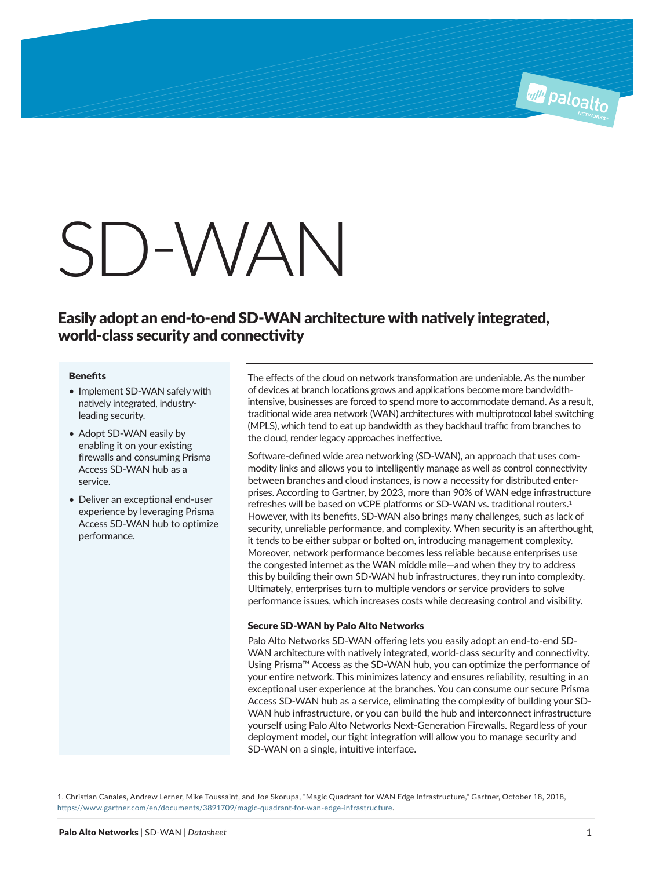# SD-WAN

# Easily adopt an end-to-end SD-WAN architecture with natively integrated, world-class security and connectivity

#### **Benefits**

- Implement SD-WAN safely with natively integrated, industryleading security.
- Adopt SD-WAN easily by enabling it on your existing firewalls and consuming Prisma Access SD-WAN hub as a service.
- Deliver an exceptional end-user experience by leveraging Prisma Access SD-WAN hub to optimize performance.

The effects of the cloud on network transformation are undeniable. As the number of devices at branch locations grows and applications become more bandwidthintensive, businesses are forced to spend more to accommodate demand. As a result, traditional wide area network (WAN) architectures with multiprotocol label switching (MPLS), which tend to eat up bandwidth as they backhaul traffic from branches to the cloud, render legacy approaches ineffective.

Software-defined wide area networking (SD-WAN), an approach that uses commodity links and allows you to intelligently manage as well as control connectivity between branches and cloud instances, is now a necessity for distributed enterprises. According to Gartner, by 2023, more than 90% of WAN edge infrastructure refreshes will be based on vCPE platforms or SD-WAN vs. traditional routers.<sup>1</sup> However, with its benefits, SD-WAN also brings many challenges, such as lack of security, unreliable performance, and complexity. When security is an afterthought, it tends to be either subpar or bolted on, introducing management complexity. Moreover, network performance becomes less reliable because enterprises use the congested internet as the WAN middle mile—and when they try to address this by building their own SD-WAN hub infrastructures, they run into complexity. Ultimately, enterprises turn to multiple vendors or service providers to solve performance issues, which increases costs while decreasing control and visibility.

#### Secure SD-WAN by Palo Alto Networks

Palo Alto Networks SD-WAN offering lets you easily adopt an end-to-end SD-WAN architecture with natively integrated, world-class security and connectivity. Using Prisma™ Access as the SD-WAN hub, you can optimize the performance of your entire network. This minimizes latency and ensures reliability, resulting in an exceptional user experience at the branches. You can consume our secure Prisma Access SD-WAN hub as a service, eliminating the complexity of building your SD-WAN hub infrastructure, or you can build the hub and interconnect infrastructure yourself using Palo Alto Networks Next-Generation Firewalls. Regardless of your deployment model, our tight integration will allow you to manage security and SD-WAN on a single, intuitive interface.

1. Christian Canales, Andrew Lerner, Mike Toussaint, and Joe Skorupa, "Magic Quadrant for WAN Edge Infrastructure," Gartner, October 18, 2018, https://www.gartner.com/en/documents/3891709/magic-quadrant-for-wan-edge-infrastructure.

**All Paloalto**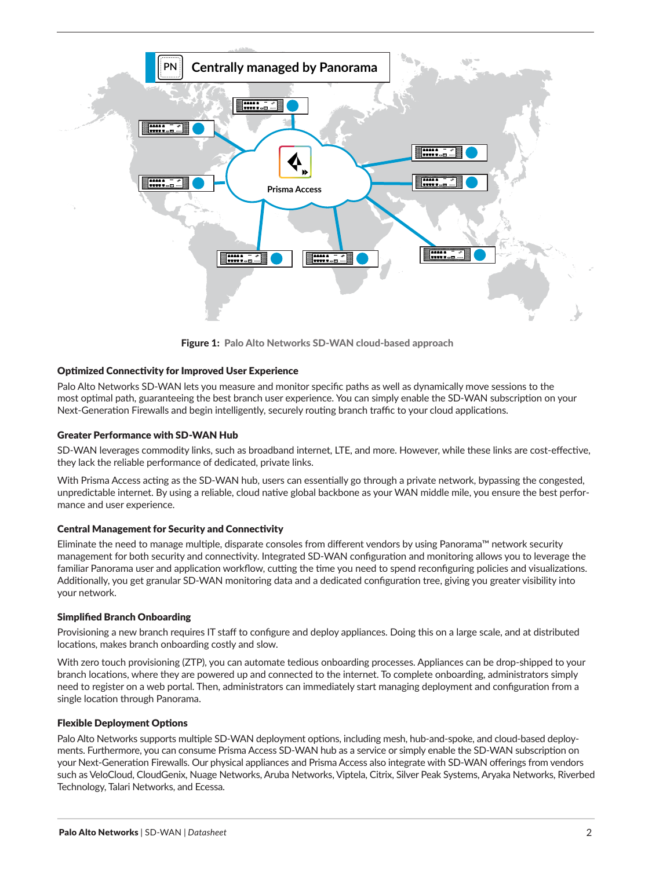

Figure 1: Palo Alto Networks SD-WAN cloud-based approach

## Optimized Connectivity for Improved User Experience

Palo Alto Networks SD-WAN lets you measure and monitor specific paths as well as dynamically move sessions to the most optimal path, guaranteeing the best branch user experience. You can simply enable the SD-WAN subscription on your Next-Generation Firewalls and begin intelligently, securely routing branch traffic to your cloud applications.

#### Greater Performance with SD-WAN Hub

SD-WAN leverages commodity links, such as broadband internet, LTE, and more. However, while these links are cost-effective, they lack the reliable performance of dedicated, private links.

With Prisma Access acting as the SD-WAN hub, users can essentially go through a private network, bypassing the congested, unpredictable internet. By using a reliable, cloud native global backbone as your WAN middle mile, you ensure the best performance and user experience.

#### Central Management for Security and Connectivity

Eliminate the need to manage multiple, disparate consoles from different vendors by using Panorama™ network security management for both security and connectivity. Integrated SD-WAN configuration and monitoring allows you to leverage the familiar Panorama user and application workflow, cutting the time you need to spend reconfiguring policies and visualizations. Additionally, you get granular SD-WAN monitoring data and a dedicated configuration tree, giving you greater visibility into your network.

### Simplified Branch Onboarding

Provisioning a new branch requires IT staff to configure and deploy appliances. Doing this on a large scale, and at distributed locations, makes branch onboarding costly and slow.

With zero touch provisioning (ZTP), you can automate tedious onboarding processes. Appliances can be drop-shipped to your branch locations, where they are powered up and connected to the internet. To complete onboarding, administrators simply need to register on a web portal. Then, administrators can immediately start managing deployment and configuration from a single location through Panorama.

#### Flexible Deployment Options

Palo Alto Networks supports multiple SD-WAN deployment options, including mesh, hub-and-spoke, and cloud-based deployments. Furthermore, you can consume Prisma Access SD-WAN hub as a service or simply enable the SD-WAN subscription on your Next-Generation Firewalls. Our physical appliances and Prisma Access also integrate with SD-WAN offerings from vendors such as VeloCloud, CloudGenix, Nuage Networks, Aruba Networks, Viptela, Citrix, Silver Peak Systems, Aryaka Networks, Riverbed Technology, Talari Networks, and Ecessa.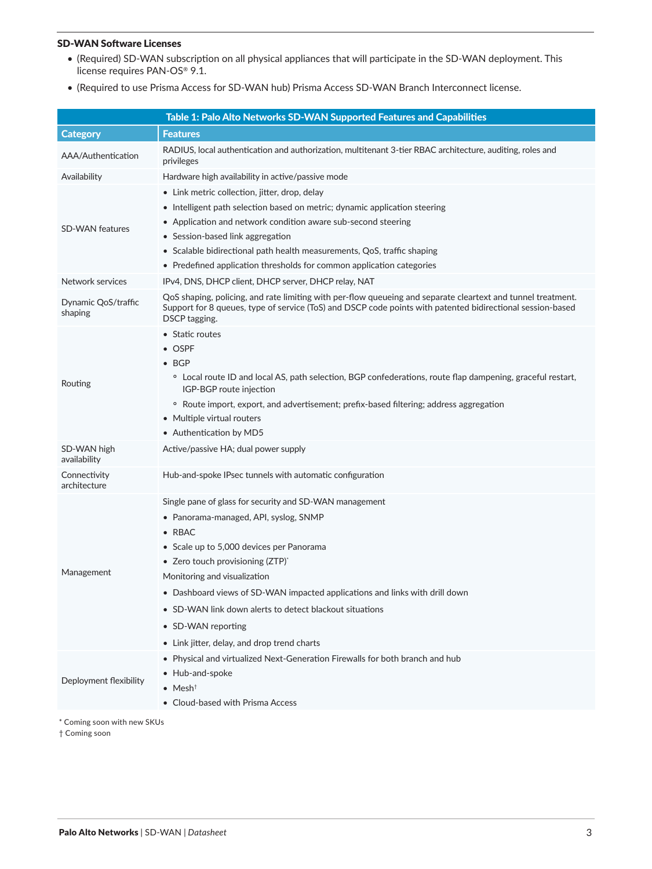### SD-WAN Software Licenses

- (Required) SD-WAN subscription on all physical appliances that will participate in the SD-WAN deployment. This license requires PAN-OS® 9.1.
- (Required to use Prisma Access for SD-WAN hub) Prisma Access SD-WAN Branch Interconnect license.

|                                | Table 1: Palo Alto Networks SD-WAN Supported Features and Capabilities                                                                                                                                                                      |
|--------------------------------|---------------------------------------------------------------------------------------------------------------------------------------------------------------------------------------------------------------------------------------------|
| <b>Category</b>                | <b>Features</b>                                                                                                                                                                                                                             |
| AAA/Authentication             | RADIUS, local authentication and authorization, multitenant 3-tier RBAC architecture, auditing, roles and<br>privileges                                                                                                                     |
| Availability                   | Hardware high availability in active/passive mode                                                                                                                                                                                           |
|                                | $\bullet$ Link metric collection, jitter, drop, delay                                                                                                                                                                                       |
|                                | • Intelligent path selection based on metric; dynamic application steering                                                                                                                                                                  |
| <b>SD-WAN features</b>         | • Application and network condition aware sub-second steering                                                                                                                                                                               |
|                                | • Session-based link aggregation                                                                                                                                                                                                            |
|                                | • Scalable bidirectional path health measurements, QoS, traffic shaping                                                                                                                                                                     |
|                                | • Predefined application thresholds for common application categories                                                                                                                                                                       |
| Network services               | IPv4, DNS, DHCP client, DHCP server, DHCP relay, NAT                                                                                                                                                                                        |
| Dynamic QoS/traffic<br>shaping | QoS shaping, policing, and rate limiting with per-flow queueing and separate cleartext and tunnel treatment.<br>Support for 8 queues, type of service (ToS) and DSCP code points with patented bidirectional session-based<br>DSCP tagging. |
|                                | • Static routes                                                                                                                                                                                                                             |
| Routing                        | $\bullet$ OSPF                                                                                                                                                                                                                              |
|                                | $\bullet$ BGP                                                                                                                                                                                                                               |
|                                | <sup>o</sup> Local route ID and local AS, path selection, BGP confederations, route flap dampening, graceful restart,<br>IGP-BGP route injection                                                                                            |
|                                | • Route import, export, and advertisement; prefix-based filtering; address aggregation                                                                                                                                                      |
|                                | • Multiple virtual routers                                                                                                                                                                                                                  |
|                                | • Authentication by MD5                                                                                                                                                                                                                     |
| SD-WAN high<br>availability    | Active/passive HA; dual power supply                                                                                                                                                                                                        |
| Connectivity<br>architecture   | Hub-and-spoke IPsec tunnels with automatic configuration                                                                                                                                                                                    |
|                                | Single pane of glass for security and SD-WAN management                                                                                                                                                                                     |
|                                | • Panorama-managed, API, syslog, SNMP                                                                                                                                                                                                       |
|                                | $\bullet$ RBAC                                                                                                                                                                                                                              |
| Management                     | • Scale up to 5,000 devices per Panorama                                                                                                                                                                                                    |
|                                | • Zero touch provisioning $(ZTP)^*$                                                                                                                                                                                                         |
|                                | Monitoring and visualization                                                                                                                                                                                                                |
|                                | • Dashboard views of SD-WAN impacted applications and links with drill down                                                                                                                                                                 |
|                                | • SD-WAN link down alerts to detect blackout situations                                                                                                                                                                                     |
|                                | • SD-WAN reporting                                                                                                                                                                                                                          |
|                                | • Link jitter, delay, and drop trend charts                                                                                                                                                                                                 |
|                                | • Physical and virtualized Next-Generation Firewalls for both branch and hub                                                                                                                                                                |
| Deployment flexibility         | • Hub-and-spoke                                                                                                                                                                                                                             |
|                                | $\bullet$ Mesh <sup>†</sup>                                                                                                                                                                                                                 |
|                                | • Cloud-based with Prisma Access                                                                                                                                                                                                            |

\* Coming soon with new SKUs

† Coming soon